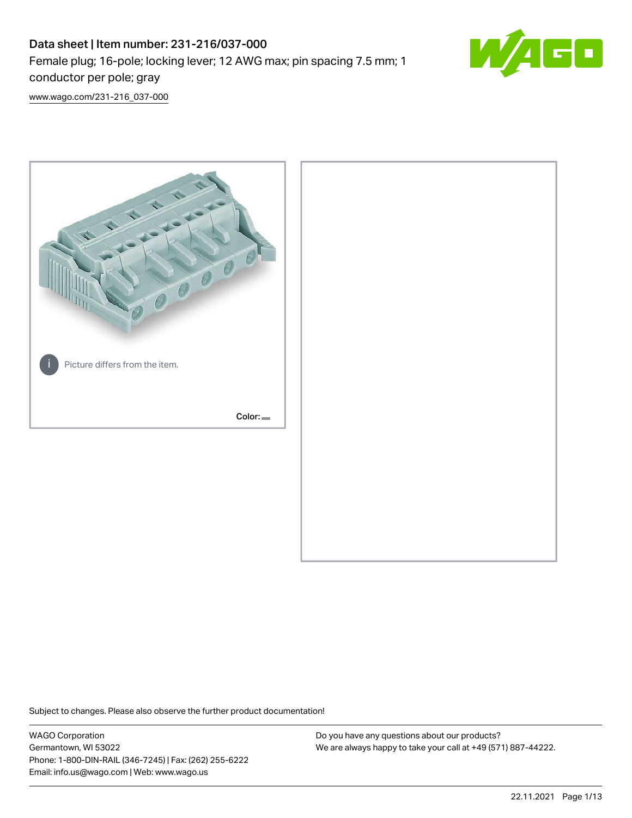# Data sheet | Item number: 231-216/037-000 Female plug; 16-pole; locking lever; 12 AWG max; pin spacing 7.5 mm; 1 conductor per pole; gray



[www.wago.com/231-216\\_037-000](http://www.wago.com/231-216_037-000)



Subject to changes. Please also observe the further product documentation!

WAGO Corporation Germantown, WI 53022 Phone: 1-800-DIN-RAIL (346-7245) | Fax: (262) 255-6222 Email: info.us@wago.com | Web: www.wago.us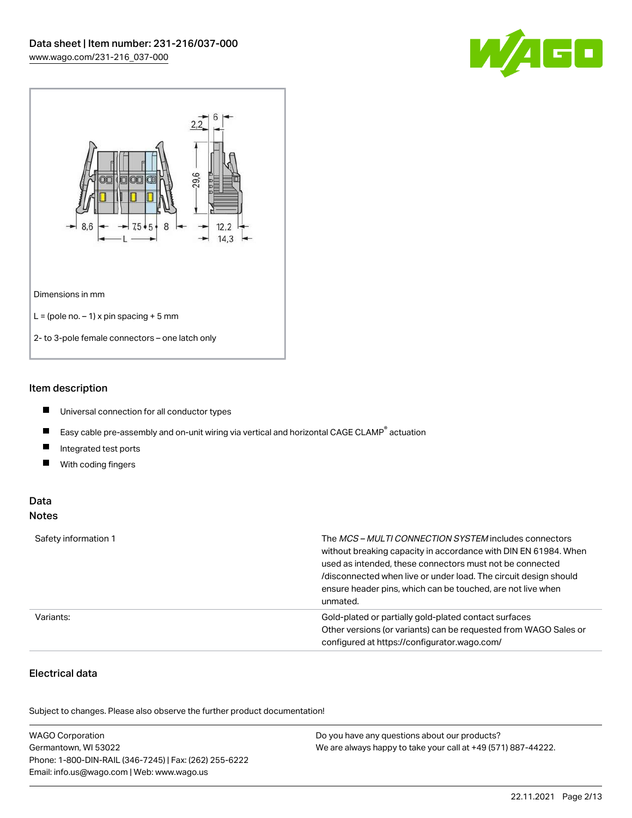



### Item description

- $\blacksquare$ Universal connection for all conductor types
- $\blacksquare$ Easy cable pre-assembly and on-unit wiring via vertical and horizontal CAGE CLAMP<sup>®</sup> actuation
- $\blacksquare$ Integrated test ports
- $\blacksquare$ With coding fingers

### Data Notes

| Safety information 1 | The <i>MCS – MULTI CONNECTION SYSTEM</i> includes connectors<br>without breaking capacity in accordance with DIN EN 61984. When<br>used as intended, these connectors must not be connected<br>/disconnected when live or under load. The circuit design should<br>ensure header pins, which can be touched, are not live when<br>unmated. |
|----------------------|--------------------------------------------------------------------------------------------------------------------------------------------------------------------------------------------------------------------------------------------------------------------------------------------------------------------------------------------|
| Variants:            | Gold-plated or partially gold-plated contact surfaces<br>Other versions (or variants) can be requested from WAGO Sales or<br>configured at https://configurator.wago.com/                                                                                                                                                                  |

# Electrical data

.<br>Subject to changes. Please also observe the further product documentation!

| <b>WAGO Corporation</b>                                | Do you have any questions about our products?                 |
|--------------------------------------------------------|---------------------------------------------------------------|
| Germantown, WI 53022                                   | We are always happy to take your call at +49 (571) 887-44222. |
| Phone: 1-800-DIN-RAIL (346-7245)   Fax: (262) 255-6222 |                                                               |
| Email: info.us@wago.com   Web: www.wago.us             |                                                               |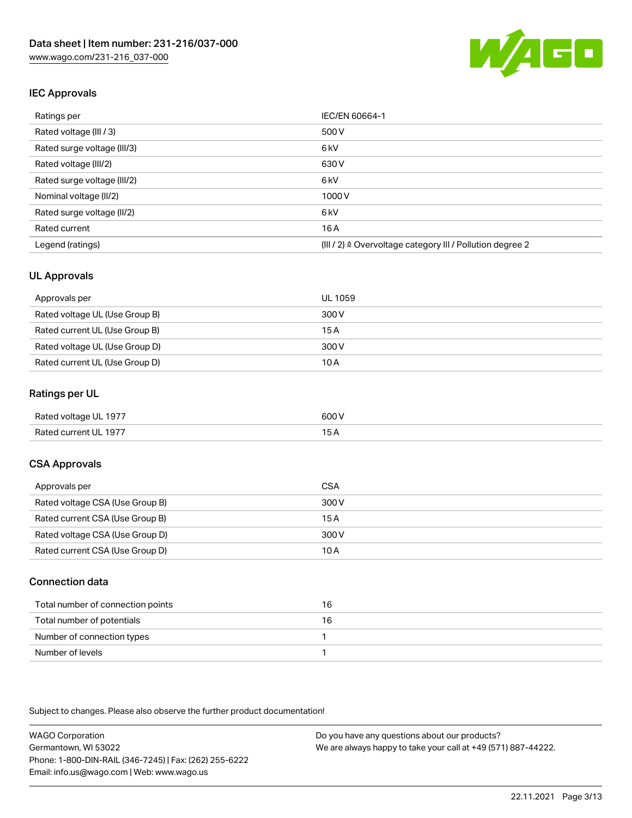

## IEC Approvals

| Ratings per                 | IEC/EN 60664-1                                            |
|-----------------------------|-----------------------------------------------------------|
| Rated voltage (III / 3)     | 500 V                                                     |
| Rated surge voltage (III/3) | 6 <sub>kV</sub>                                           |
| Rated voltage (III/2)       | 630 V                                                     |
| Rated surge voltage (III/2) | 6 <sub>kV</sub>                                           |
| Nominal voltage (II/2)      | 1000 V                                                    |
| Rated surge voltage (II/2)  | 6 <sub>kV</sub>                                           |
| Rated current               | 16A                                                       |
| Legend (ratings)            | (III / 2) ≙ Overvoltage category III / Pollution degree 2 |

### UL Approvals

| Approvals per                  | UL 1059 |
|--------------------------------|---------|
| Rated voltage UL (Use Group B) | 300 V   |
| Rated current UL (Use Group B) | 15 A    |
| Rated voltage UL (Use Group D) | 300 V   |
| Rated current UL (Use Group D) | 10 A    |

### Ratings per UL

| Rated voltage UL 1977 | 600 V |
|-----------------------|-------|
| Rated current UL 1977 |       |

## CSA Approvals

| Approvals per                   | CSA   |
|---------------------------------|-------|
| Rated voltage CSA (Use Group B) | 300 V |
| Rated current CSA (Use Group B) | 15 A  |
| Rated voltage CSA (Use Group D) | 300 V |
| Rated current CSA (Use Group D) | 10 A  |

#### Connection data

| Total number of connection points | 16 |
|-----------------------------------|----|
| Total number of potentials        | 16 |
| Number of connection types        |    |
| Number of levels                  |    |

Subject to changes. Please also observe the further product documentation!

WAGO Corporation Germantown, WI 53022 Phone: 1-800-DIN-RAIL (346-7245) | Fax: (262) 255-6222 Email: info.us@wago.com | Web: www.wago.us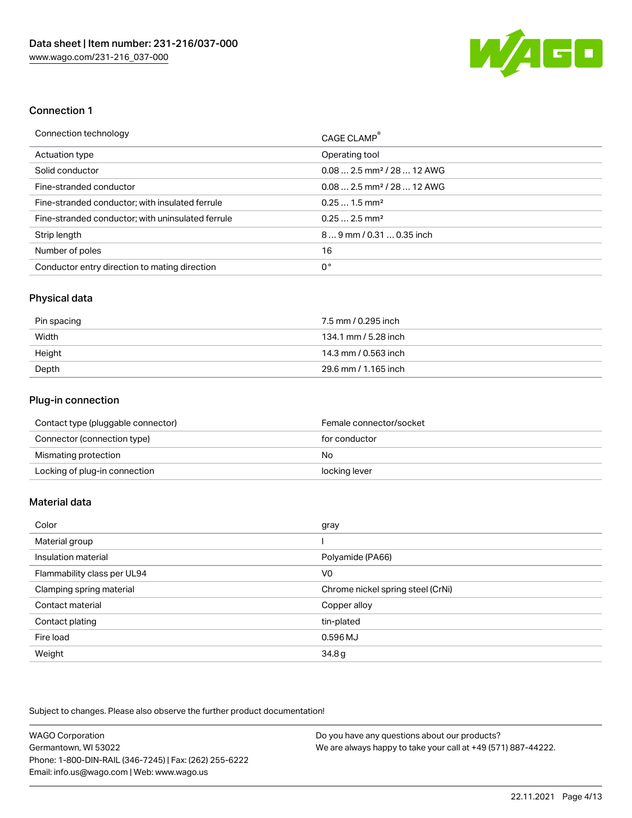

### Connection 1

| Connection technology                             | CAGE CLAMP <sup>®</sup>                 |
|---------------------------------------------------|-----------------------------------------|
| Actuation type                                    | Operating tool                          |
| Solid conductor                                   | $0.08$ 2.5 mm <sup>2</sup> / 28  12 AWG |
| Fine-stranded conductor                           | $0.08$ 2.5 mm <sup>2</sup> / 28  12 AWG |
| Fine-stranded conductor; with insulated ferrule   | $0.251.5$ mm <sup>2</sup>               |
| Fine-stranded conductor; with uninsulated ferrule | $0.252.5$ mm <sup>2</sup>               |
| Strip length                                      | $89$ mm $/ 0.310.35$ inch               |
| Number of poles                                   | 16                                      |
| Conductor entry direction to mating direction     | 0°                                      |

### Physical data

| Pin spacing | 7.5 mm / 0.295 inch  |
|-------------|----------------------|
| Width       | 134.1 mm / 5.28 inch |
| Height      | 14.3 mm / 0.563 inch |
| Depth       | 29.6 mm / 1.165 inch |

# Plug-in connection

| Contact type (pluggable connector) | Female connector/socket |
|------------------------------------|-------------------------|
| Connector (connection type)        | for conductor           |
| Mismating protection               | No                      |
| Locking of plug-in connection      | locking lever           |

# Material data

| Color                       | gray                              |
|-----------------------------|-----------------------------------|
| Material group              |                                   |
| Insulation material         | Polyamide (PA66)                  |
| Flammability class per UL94 | V0                                |
| Clamping spring material    | Chrome nickel spring steel (CrNi) |
| Contact material            | Copper alloy                      |
| Contact plating             | tin-plated                        |
| Fire load                   | 0.596 MJ                          |
| Weight                      | 34.8 <sub>g</sub>                 |

Subject to changes. Please also observe the further product documentation!

| <b>WAGO Corporation</b>                                | Do you have any questions about our products?                 |
|--------------------------------------------------------|---------------------------------------------------------------|
| Germantown, WI 53022                                   | We are always happy to take your call at +49 (571) 887-44222. |
| Phone: 1-800-DIN-RAIL (346-7245)   Fax: (262) 255-6222 |                                                               |
| Email: info.us@wago.com   Web: www.wago.us             |                                                               |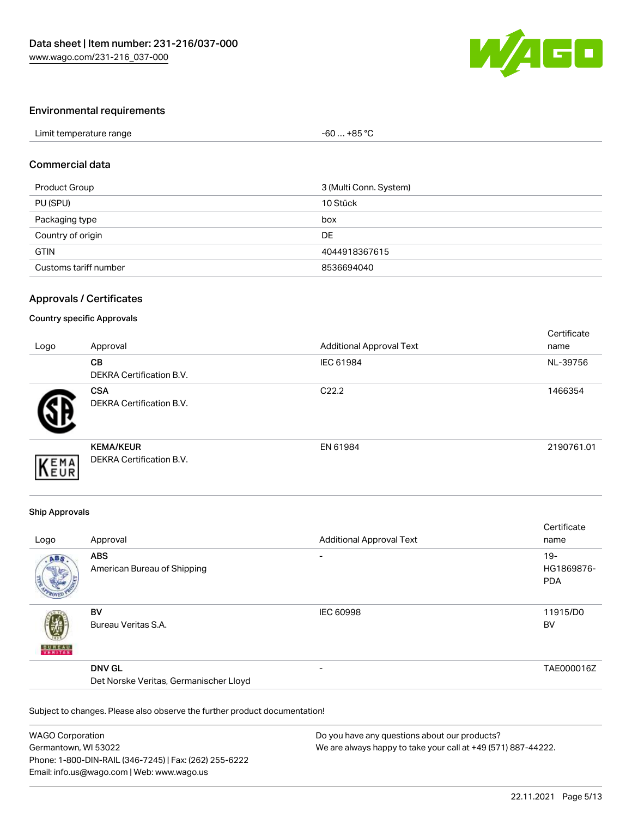

### Environmental requirements

| Limit temperature range | +85 °C<br>-60 |  |
|-------------------------|---------------|--|

#### Commercial data

| Product Group         | 3 (Multi Conn. System) |
|-----------------------|------------------------|
| PU (SPU)              | 10 Stück               |
| Packaging type        | box                    |
| Country of origin     | DE                     |
| <b>GTIN</b>           | 4044918367615          |
| Customs tariff number | 8536694040             |

#### Approvals / Certificates

#### Country specific Approvals

| Logo | Approval                                            | <b>Additional Approval Text</b> | Certificate<br>name |
|------|-----------------------------------------------------|---------------------------------|---------------------|
|      | <b>CB</b><br>DEKRA Certification B.V.               | IEC 61984                       | NL-39756            |
|      | <b>CSA</b><br><b>DEKRA Certification B.V.</b>       | C <sub>22.2</sub>               | 1466354             |
| EMA  | <b>KEMA/KEUR</b><br><b>DEKRA Certification B.V.</b> | EN 61984                        | 2190761.01          |

#### Ship Approvals

| Logo          | Approval                                                | <b>Additional Approval Text</b> | Certificate<br>name                |
|---------------|---------------------------------------------------------|---------------------------------|------------------------------------|
| ABS           | <b>ABS</b><br>American Bureau of Shipping               |                                 | $19 -$<br>HG1869876-<br><b>PDA</b> |
| <b>BUNEAU</b> | <b>BV</b><br>Bureau Veritas S.A.                        | IEC 60998                       | 11915/D0<br>BV                     |
|               | <b>DNV GL</b><br>Det Norske Veritas, Germanischer Lloyd | $\overline{\phantom{0}}$        | TAE000016Z                         |

Subject to changes. Please also observe the further product documentation!

| <b>WAGO Corporation</b>                                | Do you have any questions about our products?                 |
|--------------------------------------------------------|---------------------------------------------------------------|
| Germantown, WI 53022                                   | We are always happy to take your call at +49 (571) 887-44222. |
| Phone: 1-800-DIN-RAIL (346-7245)   Fax: (262) 255-6222 |                                                               |
| Email: info.us@wago.com   Web: www.wago.us             |                                                               |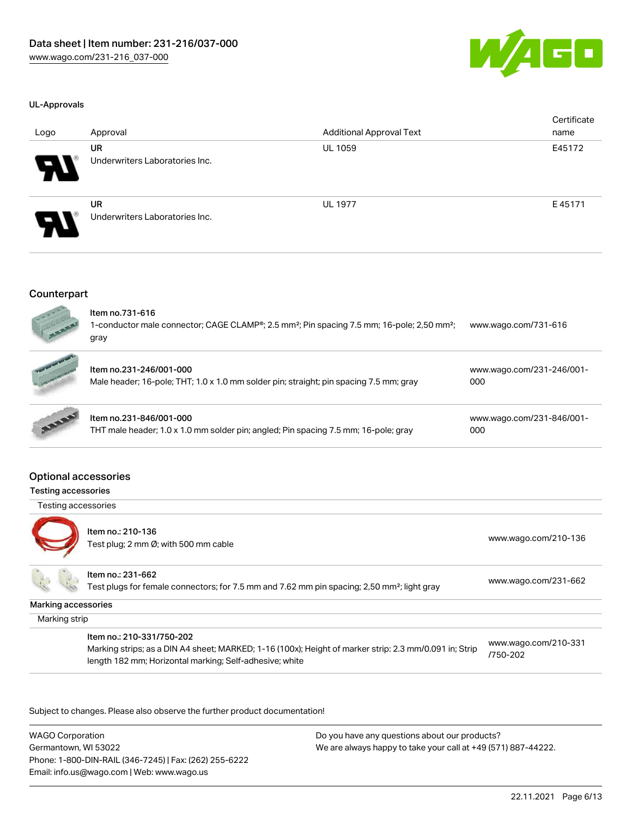

#### UL-Approvals

| Logo                  | Approval                                    | <b>Additional Approval Text</b> | Certificate<br>name |
|-----------------------|---------------------------------------------|---------------------------------|---------------------|
| $\boldsymbol{\theta}$ | <b>UR</b><br>Underwriters Laboratories Inc. | <b>UL 1059</b>                  | E45172              |
| $\boldsymbol{\theta}$ | <b>UR</b><br>Underwriters Laboratories Inc. | <b>UL 1977</b>                  | E45171              |

#### **Counterpart**



| Item no.231-846/001-000                                                                                                                                    | www.wago.com/231-846/001-        |
|------------------------------------------------------------------------------------------------------------------------------------------------------------|----------------------------------|
| ltem no.231-246/001-000<br>Male header; 16-pole; THT; 1.0 x 1.0 mm solder pin; straight; pin spacing 7.5 mm; gray                                          | www.wago.com/231-246/001-<br>000 |
| Item no.731-616<br>1-conductor male connector; CAGE CLAMP <sup>®</sup> ; 2.5 mm <sup>2</sup> ; Pin spacing 7.5 mm; 16-pole; 2,50 mm <sup>2</sup> ;<br>gray | www.wago.com/731-616             |

| סטט ו טטאטוסדט ו טגעווווט                                                           |  |
|-------------------------------------------------------------------------------------|--|
| THT male header; 1.0 x 1.0 mm solder pin; angled; Pin spacing 7.5 mm; 16-pole; gray |  |

#### Optional accessories

Testing accessories Testing accessories Item no.: 210-136 Test plug; 2 nm Ø; with 500 mm cable [www.wago.com/210-136](http://www.wago.com/210-136) Item no.: 231-662 Test plugs for female connectors; for 7.5 mm and 7.62 mm pin spacing; 2,50 mm²; light gray [www.wago.com/231-662](http://www.wago.com/231-662) Marking accessories Marking strip Item no.: 210-331/750-202 Marking strips; as a DIN A4 sheet; MARKED; 1-16 (100x); Height of marker strip: 2.3 mm/0.091 in; Strip [www.wago.com/210-331](http://www.wago.com/210-331/750-202) [/750-202](http://www.wago.com/210-331/750-202)

Subject to changes. Please also observe the further product documentation!

length 182 mm; Horizontal marking; Self-adhesive; white

WAGO Corporation Germantown, WI 53022 Phone: 1-800-DIN-RAIL (346-7245) | Fax: (262) 255-6222 Email: info.us@wago.com | Web: www.wago.us

Do you have any questions about our products? We are always happy to take your call at +49 (571) 887-44222.

[000](https://www.wago.com/231-846/001-000)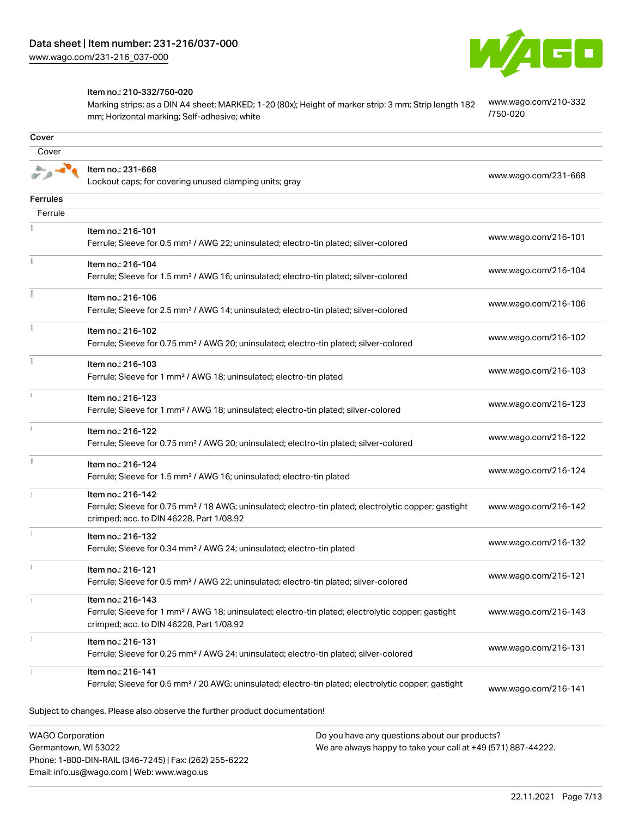

#### Item no.: 210-332/750-020

Email: info.us@wago.com | Web: www.wago.us

Marking strips; as a DIN A4 sheet; MARKED; 1-20 (80x); Height of marker strip: 3 mm; Strip length 182 mm; Horizontal marking; Self-adhesive; white

[www.wago.com/210-332](http://www.wago.com/210-332/750-020) [/750-020](http://www.wago.com/210-332/750-020)

| Cover                                           |                                                                                                                                                                                                                     |                                                               |
|-------------------------------------------------|---------------------------------------------------------------------------------------------------------------------------------------------------------------------------------------------------------------------|---------------------------------------------------------------|
| Cover                                           |                                                                                                                                                                                                                     |                                                               |
|                                                 | Item no.: 231-668<br>Lockout caps; for covering unused clamping units; gray                                                                                                                                         | www.wago.com/231-668                                          |
| <b>Ferrules</b>                                 |                                                                                                                                                                                                                     |                                                               |
| Ferrule                                         |                                                                                                                                                                                                                     |                                                               |
|                                                 | Item no.: 216-101<br>Ferrule; Sleeve for 0.5 mm <sup>2</sup> / AWG 22; uninsulated; electro-tin plated; silver-colored                                                                                              | www.wago.com/216-101                                          |
|                                                 | Item no.: 216-104<br>Ferrule; Sleeve for 1.5 mm <sup>2</sup> / AWG 16; uninsulated; electro-tin plated; silver-colored                                                                                              | www.wago.com/216-104                                          |
|                                                 | Item no.: 216-106<br>Ferrule; Sleeve for 2.5 mm <sup>2</sup> / AWG 14; uninsulated; electro-tin plated; silver-colored                                                                                              | www.wago.com/216-106                                          |
|                                                 | Item no.: 216-102<br>Ferrule; Sleeve for 0.75 mm <sup>2</sup> / AWG 20; uninsulated; electro-tin plated; silver-colored                                                                                             | www.wago.com/216-102                                          |
|                                                 | Item no.: 216-103<br>Ferrule; Sleeve for 1 mm <sup>2</sup> / AWG 18; uninsulated; electro-tin plated                                                                                                                | www.wago.com/216-103                                          |
|                                                 | Item no.: 216-123<br>Ferrule; Sleeve for 1 mm <sup>2</sup> / AWG 18; uninsulated; electro-tin plated; silver-colored                                                                                                | www.wago.com/216-123                                          |
|                                                 | Item no.: 216-122<br>Ferrule; Sleeve for 0.75 mm <sup>2</sup> / AWG 20; uninsulated; electro-tin plated; silver-colored                                                                                             | www.wago.com/216-122                                          |
|                                                 | Item no.: 216-124<br>Ferrule; Sleeve for 1.5 mm <sup>2</sup> / AWG 16; uninsulated; electro-tin plated                                                                                                              | www.wago.com/216-124                                          |
|                                                 | Item no.: 216-142<br>Ferrule; Sleeve for 0.75 mm <sup>2</sup> / 18 AWG; uninsulated; electro-tin plated; electrolytic copper; gastight<br>crimped; acc. to DIN 46228, Part 1/08.92                                  | www.wago.com/216-142                                          |
|                                                 | Item no.: 216-132<br>Ferrule; Sleeve for 0.34 mm <sup>2</sup> / AWG 24; uninsulated; electro-tin plated                                                                                                             | www.wago.com/216-132                                          |
|                                                 | Item no.: 216-121<br>Ferrule; Sleeve for 0.5 mm <sup>2</sup> / AWG 22; uninsulated; electro-tin plated; silver-colored                                                                                              | www.wago.com/216-121                                          |
|                                                 | Item no.: 216-143<br>Ferrule; Sleeve for 1 mm <sup>2</sup> / AWG 18; uninsulated; electro-tin plated; electrolytic copper; gastight<br>crimped; acc. to DIN 46228, Part 1/08.92                                     | www.wago.com/216-143                                          |
|                                                 | Item no.: 216-131<br>Ferrule; Sleeve for 0.25 mm <sup>2</sup> / AWG 24; uninsulated; electro-tin plated; silver-colored                                                                                             | www.wago.com/216-131                                          |
|                                                 | Item no.: 216-141<br>Ferrule; Sleeve for 0.5 mm <sup>2</sup> / 20 AWG; uninsulated; electro-tin plated; electrolytic copper; gastight<br>Subject to changes. Please also observe the further product documentation! | www.wago.com/216-141                                          |
|                                                 |                                                                                                                                                                                                                     |                                                               |
| <b>WAGO Corporation</b><br>Germantown, WI 53022 | Do you have any questions about our products?<br>Phone: 1-800-DIN-RAIL (346-7245)   Fax: (262) 255-6222                                                                                                             | We are always happy to take your call at +49 (571) 887-44222. |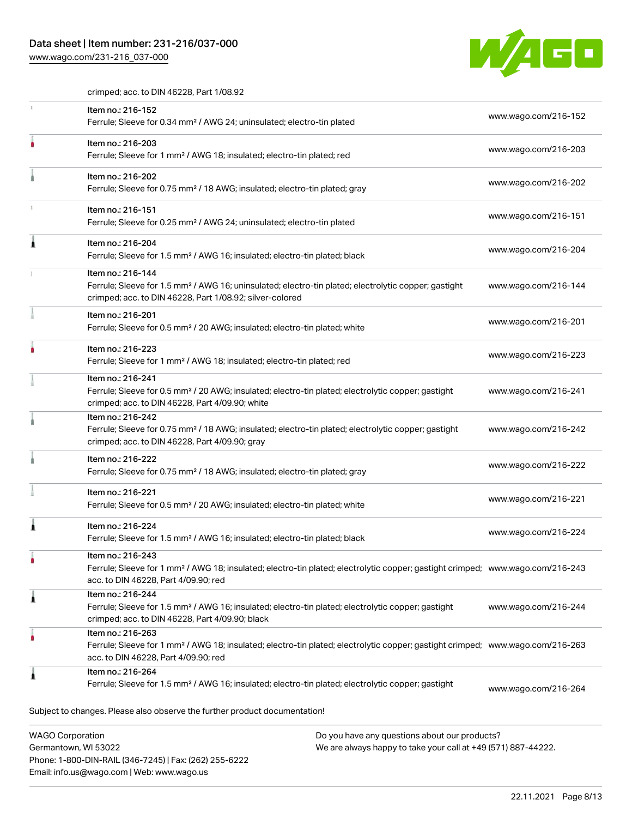# Data sheet | Item number: 231-216/037-000

Phone: 1-800-DIN-RAIL (346-7245) | Fax: (262) 255-6222

Email: info.us@wago.com | Web: www.wago.us

[www.wago.com/231-216\\_037-000](http://www.wago.com/231-216_037-000)



crimped; acc. to DIN 46228, Part 1/08.92

| Item no.: 216-152<br>Ferrule; Sleeve for 0.34 mm <sup>2</sup> / AWG 24; uninsulated; electro-tin plated                                                                                                 |                                                                                                                | www.wago.com/216-152 |
|---------------------------------------------------------------------------------------------------------------------------------------------------------------------------------------------------------|----------------------------------------------------------------------------------------------------------------|----------------------|
| Item no.: 216-203<br>Ferrule; Sleeve for 1 mm <sup>2</sup> / AWG 18; insulated; electro-tin plated; red                                                                                                 |                                                                                                                | www.wago.com/216-203 |
| Item no.: 216-202<br>Ferrule; Sleeve for 0.75 mm <sup>2</sup> / 18 AWG; insulated; electro-tin plated; gray                                                                                             |                                                                                                                | www.wago.com/216-202 |
| Item no.: 216-151<br>Ferrule; Sleeve for 0.25 mm <sup>2</sup> / AWG 24; uninsulated; electro-tin plated                                                                                                 |                                                                                                                | www.wago.com/216-151 |
| Item no.: 216-204<br>Ferrule; Sleeve for 1.5 mm <sup>2</sup> / AWG 16; insulated; electro-tin plated; black                                                                                             |                                                                                                                | www.wago.com/216-204 |
| Item no.: 216-144<br>Ferrule; Sleeve for 1.5 mm <sup>2</sup> / AWG 16; uninsulated; electro-tin plated; electrolytic copper; gastight<br>crimped; acc. to DIN 46228, Part 1/08.92; silver-colored       |                                                                                                                | www.wago.com/216-144 |
| Item no.: 216-201<br>Ferrule; Sleeve for 0.5 mm <sup>2</sup> / 20 AWG; insulated; electro-tin plated; white                                                                                             |                                                                                                                | www.wago.com/216-201 |
| Item no.: 216-223<br>Ferrule; Sleeve for 1 mm <sup>2</sup> / AWG 18; insulated; electro-tin plated; red                                                                                                 |                                                                                                                | www.wago.com/216-223 |
| Item no.: 216-241<br>Ferrule; Sleeve for 0.5 mm <sup>2</sup> / 20 AWG; insulated; electro-tin plated; electrolytic copper; gastight<br>crimped; acc. to DIN 46228, Part 4/09.90; white                  |                                                                                                                | www.wago.com/216-241 |
| Item no.: 216-242<br>Ferrule; Sleeve for 0.75 mm <sup>2</sup> / 18 AWG; insulated; electro-tin plated; electrolytic copper; gastight<br>crimped; acc. to DIN 46228, Part 4/09.90; gray                  |                                                                                                                | www.wago.com/216-242 |
| Item no.: 216-222<br>Ferrule; Sleeve for 0.75 mm <sup>2</sup> / 18 AWG; insulated; electro-tin plated; gray                                                                                             |                                                                                                                | www.wago.com/216-222 |
| Item no.: 216-221<br>Ferrule; Sleeve for 0.5 mm <sup>2</sup> / 20 AWG; insulated; electro-tin plated; white                                                                                             |                                                                                                                | www.wago.com/216-221 |
| Item no.: 216-224<br>Ferrule; Sleeve for 1.5 mm <sup>2</sup> / AWG 16; insulated; electro-tin plated; black                                                                                             |                                                                                                                | www.wago.com/216-224 |
| Item no.: 216-243<br>Ferrule; Sleeve for 1 mm <sup>2</sup> / AWG 18; insulated; electro-tin plated; electrolytic copper; gastight crimped; www.wago.com/216-243<br>acc. to DIN 46228, Part 4/09.90; red |                                                                                                                |                      |
| Item no.: 216-244<br>Ferrule; Sleeve for 1.5 mm <sup>2</sup> / AWG 16; insulated; electro-tin plated; electrolytic copper; gastight<br>crimped; acc. to DIN 46228, Part 4/09.90; black                  |                                                                                                                | www.wago.com/216-244 |
| Item no.: 216-263<br>Ferrule; Sleeve for 1 mm <sup>2</sup> / AWG 18; insulated; electro-tin plated; electrolytic copper; gastight crimped; www.wago.com/216-263<br>acc. to DIN 46228, Part 4/09.90; red |                                                                                                                |                      |
| Item no.: 216-264<br>Ferrule; Sleeve for 1.5 mm <sup>2</sup> / AWG 16; insulated; electro-tin plated; electrolytic copper; gastight                                                                     |                                                                                                                | www.wago.com/216-264 |
| Subject to changes. Please also observe the further product documentation!                                                                                                                              |                                                                                                                |                      |
| <b>WAGO Corporation</b><br>Germantown, WI 53022                                                                                                                                                         | Do you have any questions about our products?<br>We are always happy to take your call at +49 (571) 887-44222. |                      |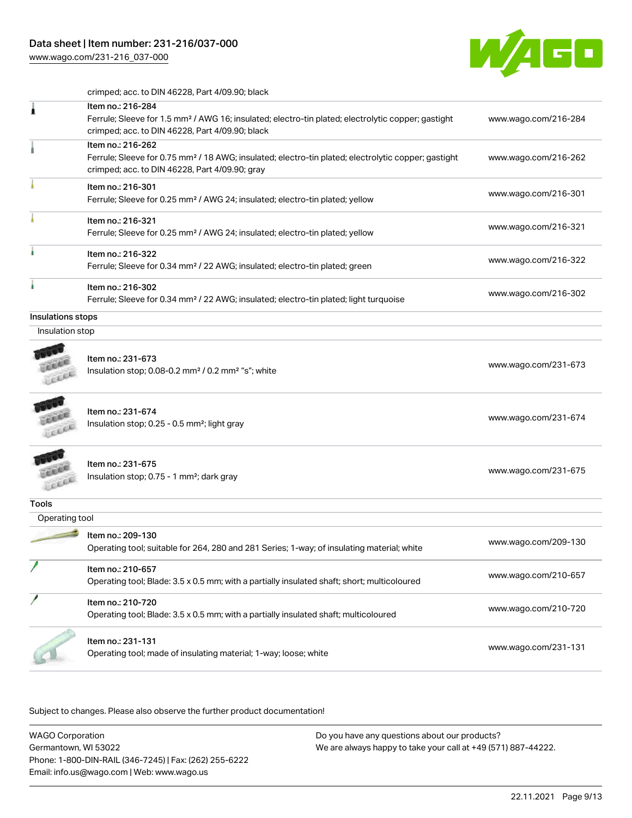[www.wago.com/231-216\\_037-000](http://www.wago.com/231-216_037-000)



crimped; acc. to DIN 46228, Part 4/09.90; black

|                   | Item no.: 216-284<br>Ferrule; Sleeve for 1.5 mm <sup>2</sup> / AWG 16; insulated; electro-tin plated; electrolytic copper; gastight<br>crimped; acc. to DIN 46228, Part 4/09.90; black | www.wago.com/216-284 |
|-------------------|----------------------------------------------------------------------------------------------------------------------------------------------------------------------------------------|----------------------|
|                   | Item no.: 216-262<br>Ferrule; Sleeve for 0.75 mm <sup>2</sup> / 18 AWG; insulated; electro-tin plated; electrolytic copper; gastight<br>crimped; acc. to DIN 46228, Part 4/09.90; gray | www.wago.com/216-262 |
|                   | Item no.: 216-301<br>Ferrule; Sleeve for 0.25 mm <sup>2</sup> / AWG 24; insulated; electro-tin plated; yellow                                                                          | www.wago.com/216-301 |
|                   | Item no.: 216-321<br>Ferrule; Sleeve for 0.25 mm <sup>2</sup> / AWG 24; insulated; electro-tin plated; yellow                                                                          | www.wago.com/216-321 |
|                   | Item no.: 216-322<br>Ferrule; Sleeve for 0.34 mm <sup>2</sup> / 22 AWG; insulated; electro-tin plated; green                                                                           | www.wago.com/216-322 |
|                   | Item no.: 216-302<br>Ferrule; Sleeve for 0.34 mm <sup>2</sup> / 22 AWG; insulated; electro-tin plated; light turquoise                                                                 | www.wago.com/216-302 |
| Insulations stops |                                                                                                                                                                                        |                      |
| Insulation stop   |                                                                                                                                                                                        |                      |
|                   | Item no.: 231-673<br>Insulation stop; 0.08-0.2 mm <sup>2</sup> / 0.2 mm <sup>2</sup> "s"; white                                                                                        | www.wago.com/231-673 |
|                   | Item no.: 231-674<br>Insulation stop; 0.25 - 0.5 mm <sup>2</sup> ; light gray                                                                                                          | www.wago.com/231-674 |
|                   | Item no.: 231-675<br>Insulation stop; 0.75 - 1 mm <sup>2</sup> ; dark gray                                                                                                             | www.wago.com/231-675 |
| <b>Tools</b>      |                                                                                                                                                                                        |                      |
| Operating tool    |                                                                                                                                                                                        |                      |
|                   | Item no.: 209-130<br>Operating tool; suitable for 264, 280 and 281 Series; 1-way; of insulating material; white                                                                        | www.wago.com/209-130 |
|                   | Item no.: 210-657<br>Operating tool; Blade: 3.5 x 0.5 mm; with a partially insulated shaft; short; multicoloured                                                                       | www.wago.com/210-657 |
|                   | Item no.: 210-720<br>Operating tool; Blade: 3.5 x 0.5 mm; with a partially insulated shaft; multicoloured                                                                              | www.wago.com/210-720 |
|                   | Item no.: 231-131<br>Operating tool; made of insulating material; 1-way; loose; white                                                                                                  | www.wago.com/231-131 |
|                   |                                                                                                                                                                                        |                      |

Subject to changes. Please also observe the further product documentation!

WAGO Corporation Germantown, WI 53022 Phone: 1-800-DIN-RAIL (346-7245) | Fax: (262) 255-6222 Email: info.us@wago.com | Web: www.wago.us Do you have any questions about our products? We are always happy to take your call at +49 (571) 887-44222.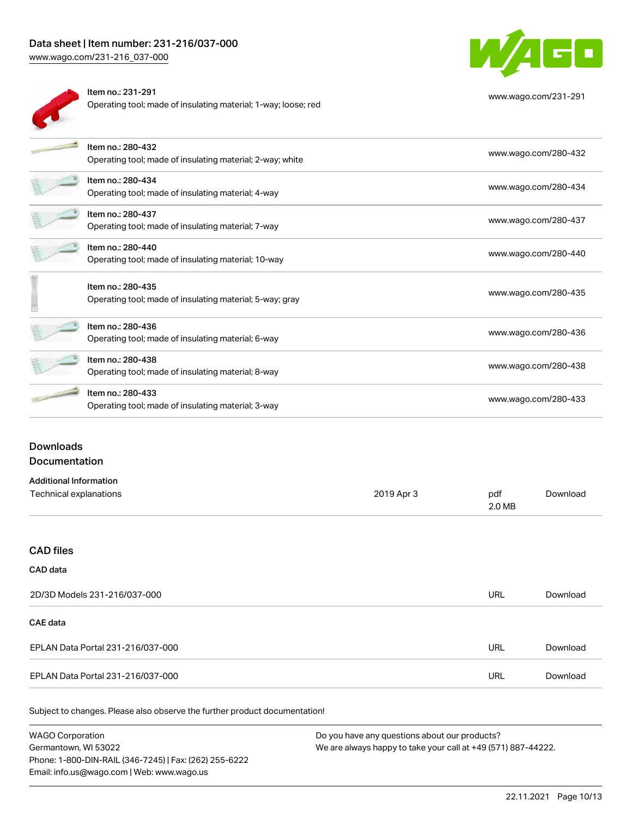# Data sheet | Item number: 231-216/037-000

[www.wago.com/231-216\\_037-000](http://www.wago.com/231-216_037-000)



Item no.: 231-291 Operating tool; made of insulating material; 1-way; loose; red



[www.wago.com/231-291](http://www.wago.com/231-291)

| Item no.: 280-432<br>Operating tool; made of insulating material; 2-way; white | www.wago.com/280-432 |
|--------------------------------------------------------------------------------|----------------------|
| Item no.: 280-434<br>Operating tool; made of insulating material; 4-way        | www.wago.com/280-434 |
| Item no.: 280-437<br>Operating tool; made of insulating material; 7-way        | www.wago.com/280-437 |
| Item no.: 280-440<br>Operating tool; made of insulating material; 10-way       | www.wago.com/280-440 |
| Item no.: 280-435<br>Operating tool; made of insulating material; 5-way; gray  | www.wago.com/280-435 |
| Item no.: 280-436<br>Operating tool; made of insulating material; 6-way        | www.wago.com/280-436 |
| Item no.: 280-438<br>Operating tool; made of insulating material; 8-way        | www.wago.com/280-438 |
| Item no.: 280-433<br>Operating tool; made of insulating material; 3-way        | www.wago.com/280-433 |

## Downloads Documentation

| Additional Information |            |        |          |
|------------------------|------------|--------|----------|
| Technical explanations | 2019 Apr 3 | pdf    | Download |
|                        |            | 2.0 MB |          |

## CAD files

### CAD data

| 2D/3D Models 231-216/037-000      | URL | Download |
|-----------------------------------|-----|----------|
| CAE data                          |     |          |
| EPLAN Data Portal 231-216/037-000 | URL | Download |
| EPLAN Data Portal 231-216/037-000 | URL | Download |

Subject to changes. Please also observe the further product documentation!

WAGO Corporation Germantown, WI 53022 Phone: 1-800-DIN-RAIL (346-7245) | Fax: (262) 255-6222 Email: info.us@wago.com | Web: www.wago.us Do you have any questions about our products? We are always happy to take your call at +49 (571) 887-44222.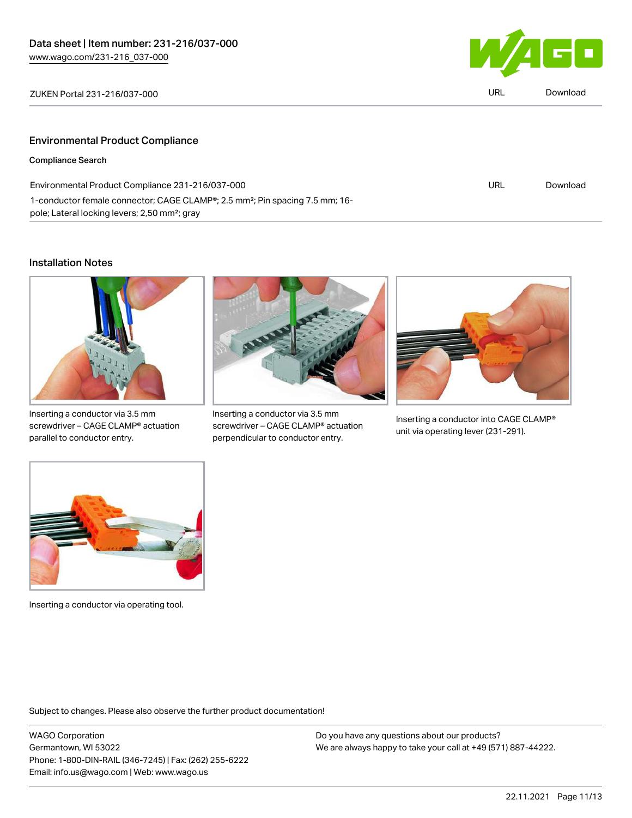1-conductor female connector; CAGE CLAMP®; 2.5 mm²; Pin spacing 7.5 mm; 16-



| ZUKEN Portal 231-216/037-000                     | URL | Download |
|--------------------------------------------------|-----|----------|
|                                                  |     |          |
| <b>Environmental Product Compliance</b>          |     |          |
| Compliance Search                                |     |          |
| Environmental Product Compliance 231-216/037-000 | URL | Download |

### Installation Notes



pole; Lateral locking levers; 2,50 mm²; gray

Inserting a conductor via 3.5 mm screwdriver – CAGE CLAMP® actuation parallel to conductor entry.



Inserting a conductor via 3.5 mm screwdriver – CAGE CLAMP® actuation perpendicular to conductor entry.



Inserting a conductor into CAGE CLAMP® unit via operating lever (231-291).



Inserting a conductor via operating tool.

Subject to changes. Please also observe the further product documentation!

WAGO Corporation Germantown, WI 53022 Phone: 1-800-DIN-RAIL (346-7245) | Fax: (262) 255-6222 Email: info.us@wago.com | Web: www.wago.us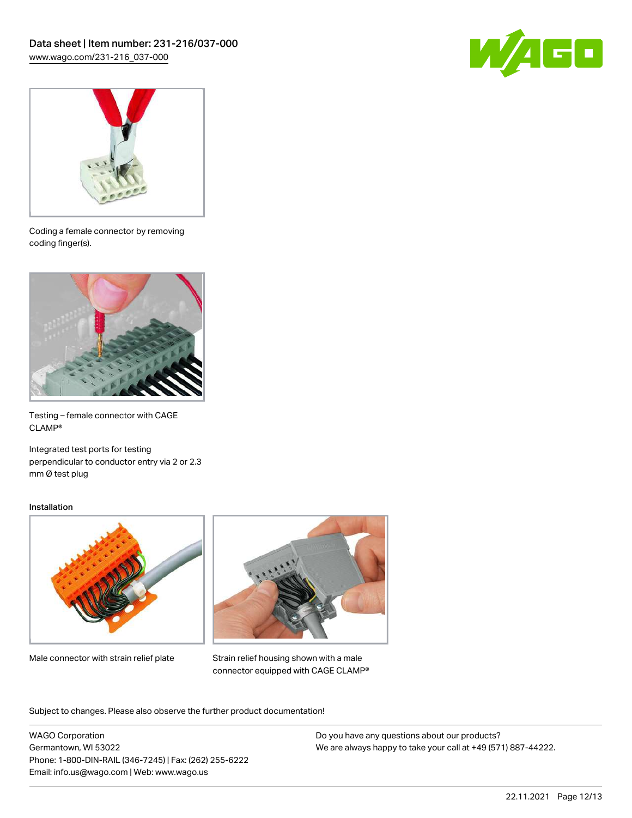



Coding a female connector by removing coding finger(s).



Testing – female connector with CAGE CLAMP®

Integrated test ports for testing perpendicular to conductor entry via 2 or 2.3 mm Ø test plug

#### Installation



Male connector with strain relief plate



Strain relief housing shown with a male connector equipped with CAGE CLAMP®

Subject to changes. Please also observe the further product documentation!

WAGO Corporation Germantown, WI 53022 Phone: 1-800-DIN-RAIL (346-7245) | Fax: (262) 255-6222 Email: info.us@wago.com | Web: www.wago.us